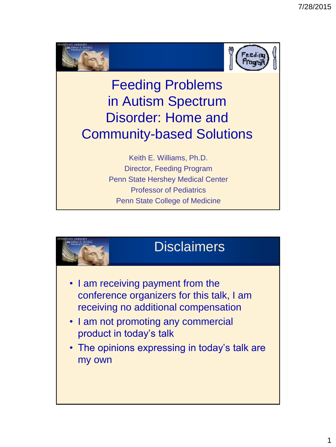



## Feeding Problems in Autism Spectrum Disorder: Home and Community-based Solutions

Keith E. Williams, Ph.D. Director, Feeding Program Penn State Hershey Medical Center Professor of Pediatrics Penn State College of Medicine

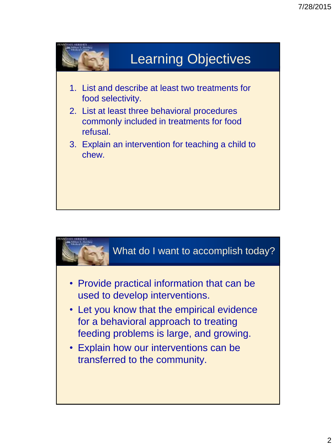

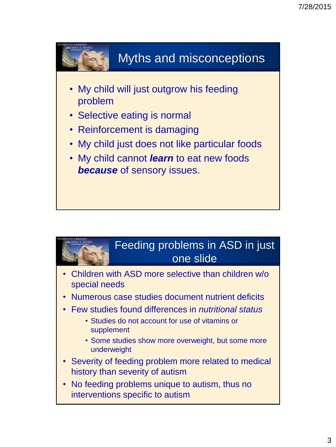

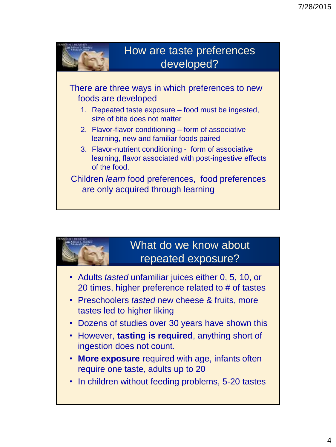

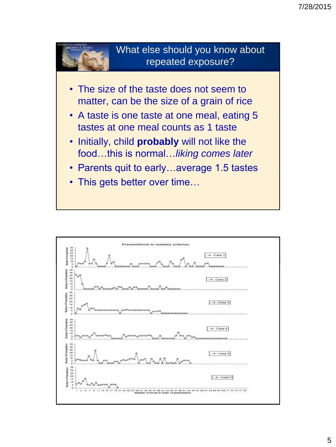

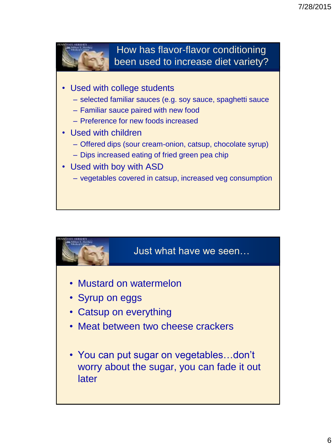

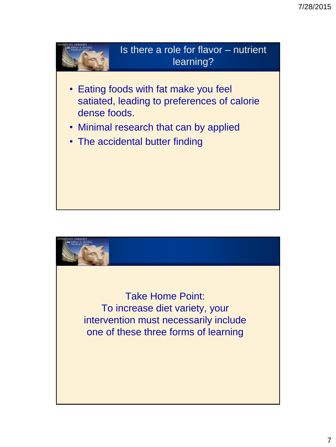

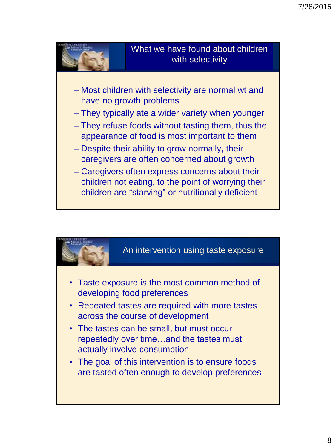

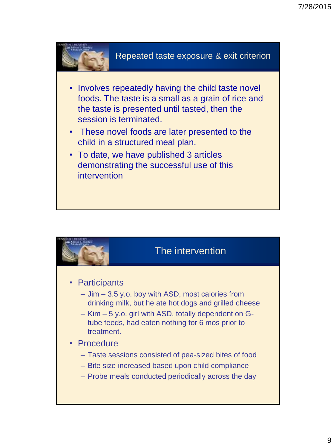

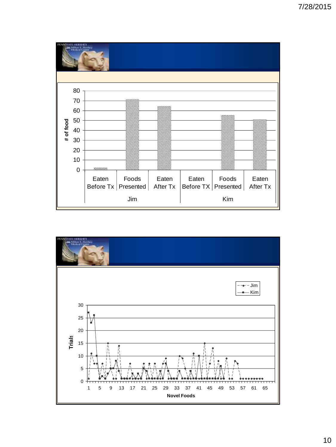

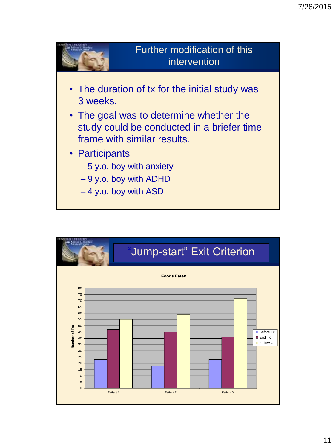

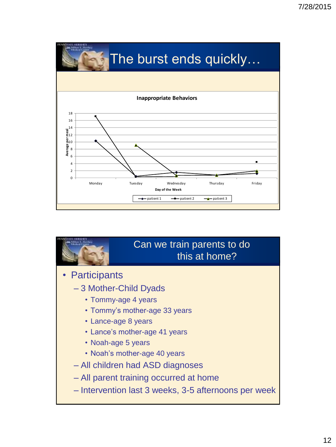

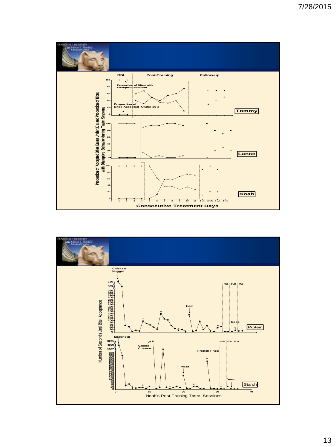

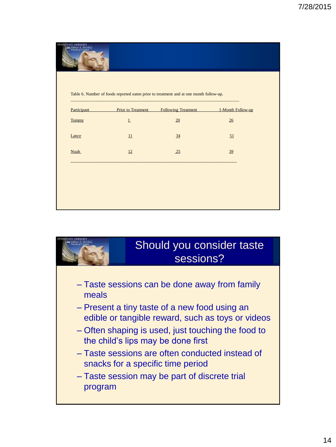

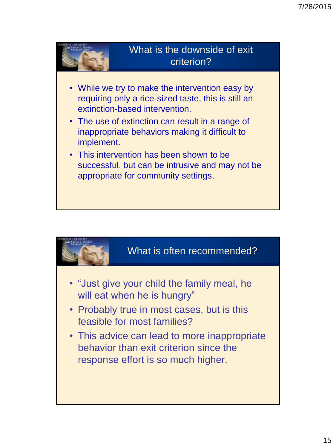

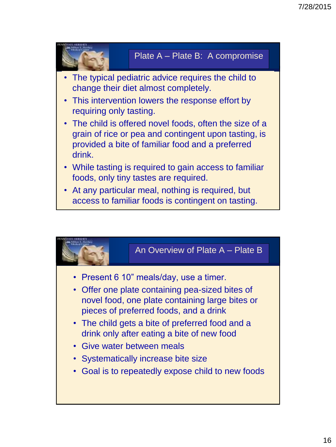

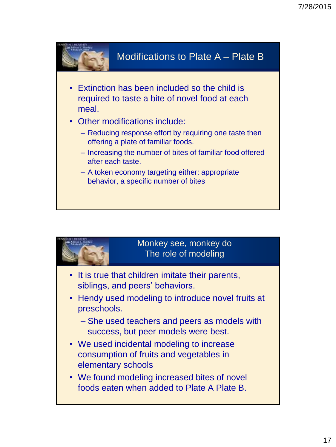

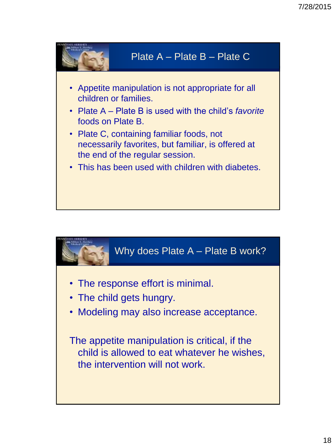

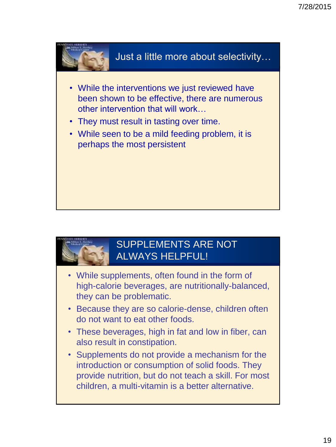



## SUPPLEMENTS ARE NOT ALWAYS HELPFUL!

- While supplements, often found in the form of high-calorie beverages, are nutritionally-balanced, they can be problematic.
- Because they are so calorie-dense, children often do not want to eat other foods.
- These beverages, high in fat and low in fiber, can also result in constipation.
- Supplements do not provide a mechanism for the introduction or consumption of solid foods. They provide nutrition, but do not teach a skill. For most children, a multi-vitamin is a better alternative.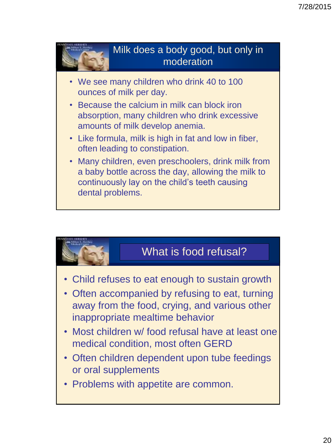

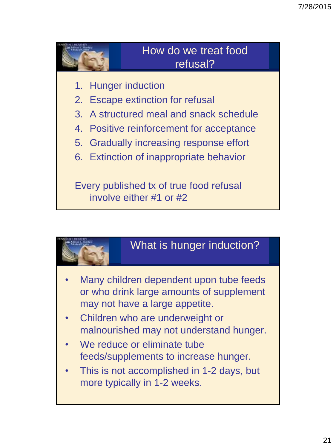





- Children who are underweight or malnourished may not understand hunger.
- We reduce or eliminate tube feeds/supplements to increase hunger.
- This is not accomplished in 1-2 days, but more typically in 1-2 weeks.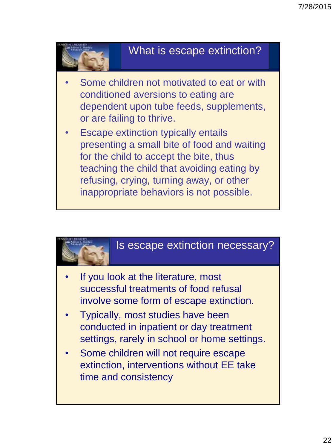

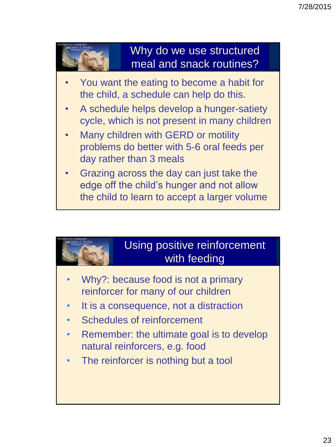

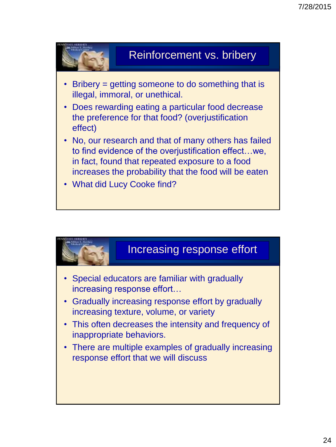





- Gradually increasing response effort by gradually increasing texture, volume, or variety
- This often decreases the intensity and frequency of inappropriate behaviors.
- There are multiple examples of gradually increasing response effort that we will discuss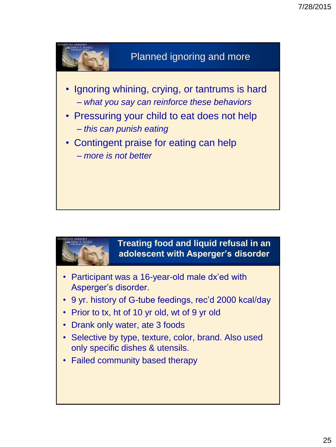



**Treating food and liquid refusal in an adolescent with Asperger's disorder**

- Participant was a 16-year-old male dx'ed with Asperger's disorder.
- 9 yr. history of G-tube feedings, rec'd 2000 kcal/day
- Prior to tx, ht of 10 yr old, wt of 9 yr old
- Drank only water, ate 3 foods
- Selective by type, texture, color, brand. Also used only specific dishes & utensils.
- Failed community based therapy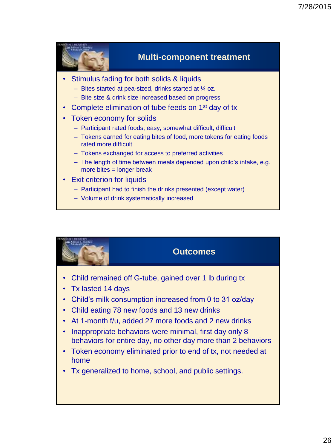

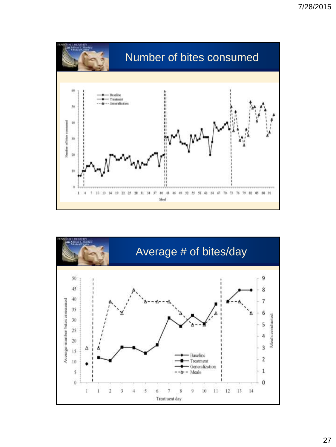

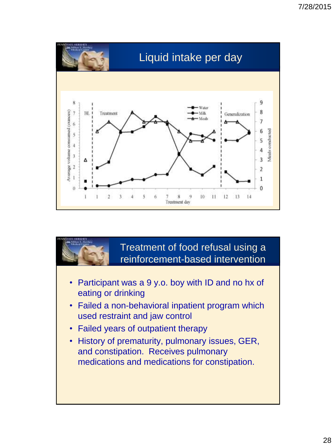

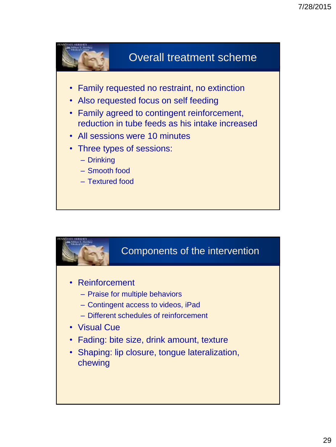

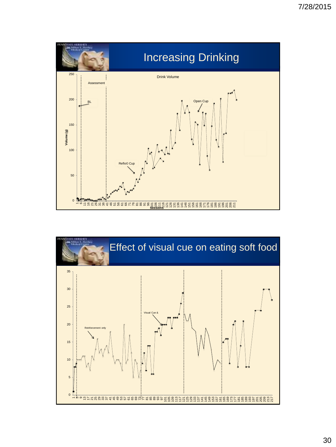

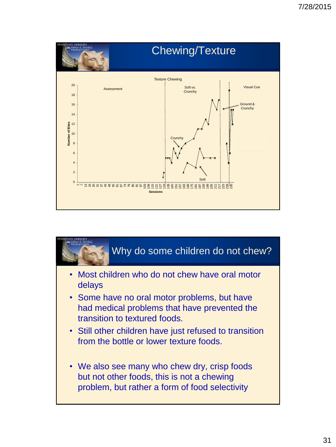

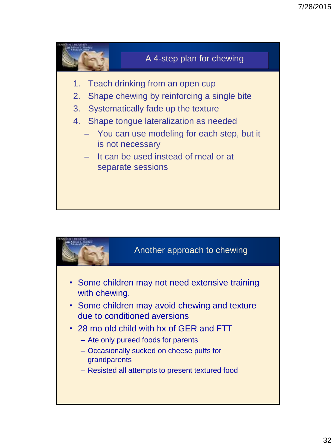

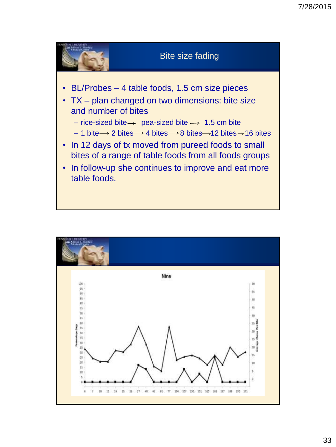

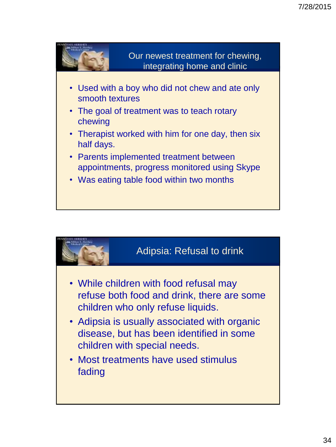

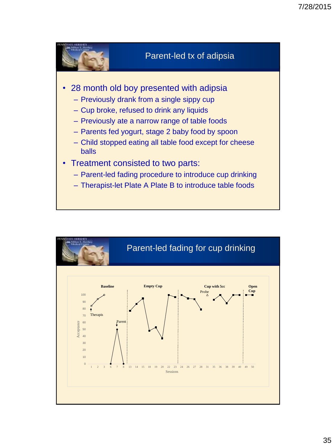

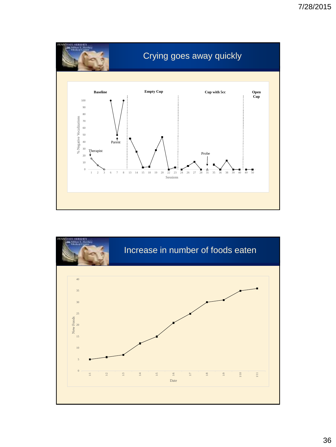

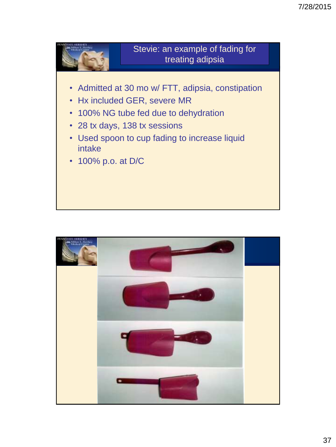

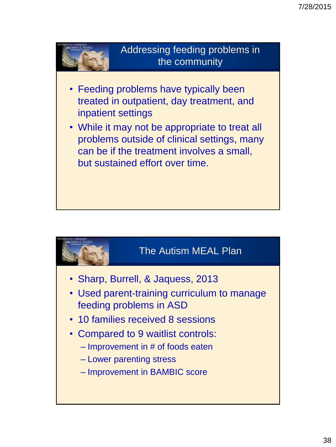

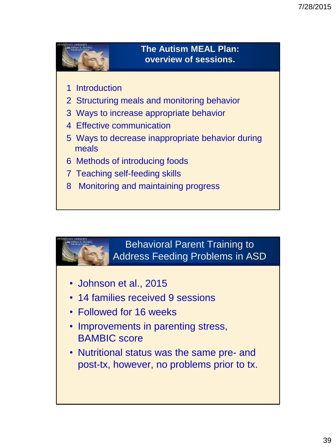

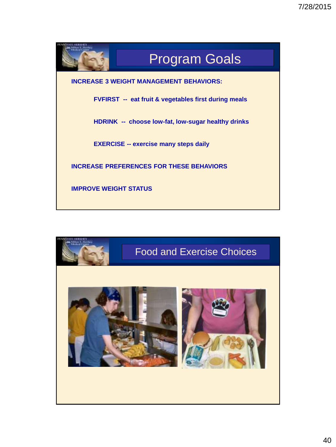

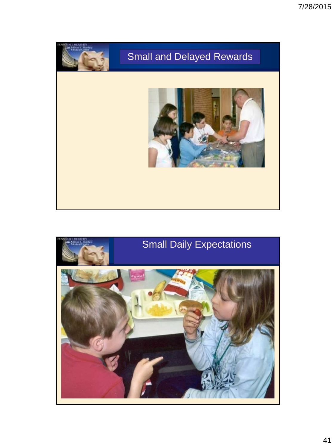

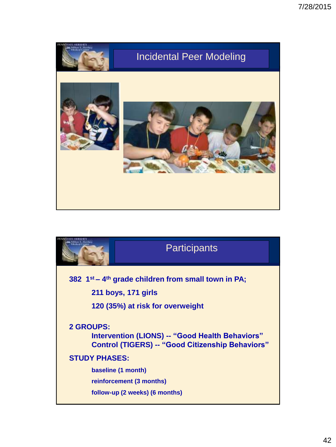

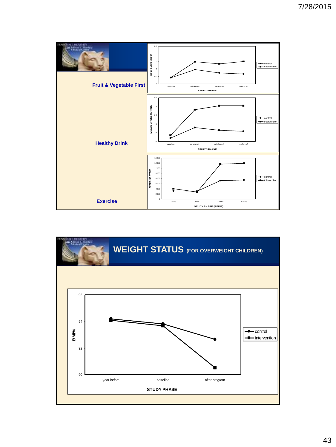

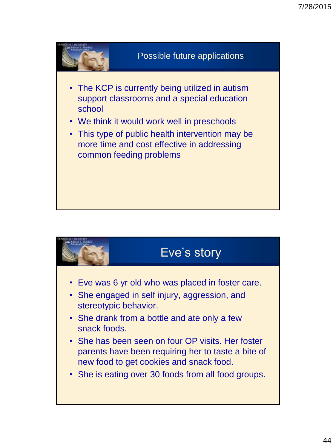

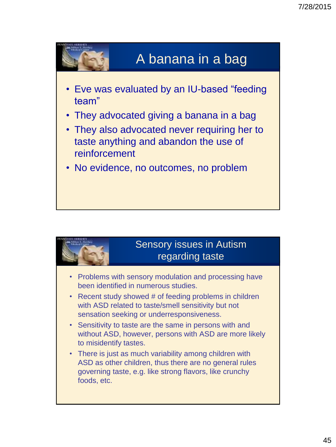

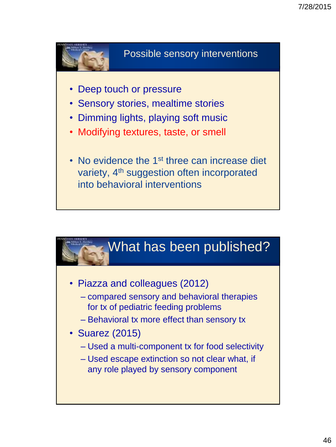